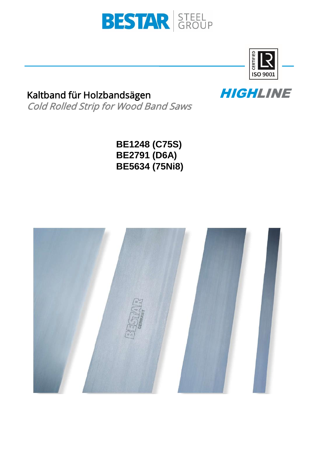



HIGHLINE

# Kaltband für Holzbandsägen Cold Rolled Strip for Wood Band Saws

**BE1248 (C75S) BE2791 (D6A) BE5634 (75Ni8)**

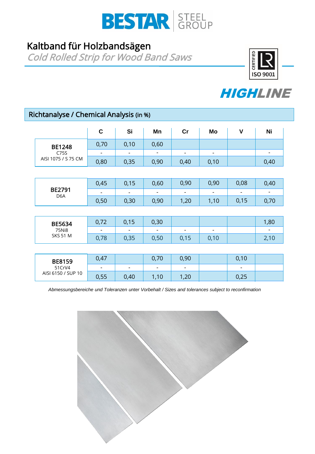

# Kaltband für Holzbandsägen

Cold Rolled Strip for Wood Band Saws





# Richtanalyse / Chemical Analysis (in %)

|                                           | $\mathbf c$ | Si                       | Mn                       | cr                       | Mo                           | $\mathbf v$    | Ni                           |
|-------------------------------------------|-------------|--------------------------|--------------------------|--------------------------|------------------------------|----------------|------------------------------|
| <b>BE1248</b><br>C75S                     | 0,70        | 0,10                     | 0,60                     |                          |                              |                |                              |
|                                           | -           | $\overline{\phantom{a}}$ | $\overline{\phantom{a}}$ | ۰                        | $\qquad \qquad \blacksquare$ |                | $\qquad \qquad \blacksquare$ |
| AISI 1075 / S 75 CM                       | 0,80        | 0,35                     | 0,90                     | 0,40                     | 0,10                         |                | 0,40                         |
|                                           |             |                          |                          |                          |                              |                |                              |
|                                           | 0,45        | 0,15                     | 0,60                     | 0,90                     | 0,90                         | 0,08           | 0,40                         |
| <b>BE2791</b><br>D <sub>6</sub> A         | ۰           | $\overline{\phantom{0}}$ | $\overline{\phantom{a}}$ | $\overline{\phantom{a}}$ | $\overline{\phantom{a}}$     | $\blacksquare$ | $\overline{\phantom{a}}$     |
|                                           | 0,50        | 0,30                     | 0,90                     | 1,20                     | 1,10                         | 0,15           | 0,70                         |
|                                           |             |                          |                          |                          |                              |                |                              |
| <b>BE5634</b><br>75Ni8<br><b>SKS 51 M</b> | 0,72        | 0,15                     | 0,30                     |                          |                              |                | 1,80                         |
|                                           |             |                          |                          |                          | -                            |                |                              |
|                                           | 0,78        | 0,35                     | 0,50                     | 0,15                     | 0,10                         |                | 2,10                         |
|                                           |             |                          |                          |                          |                              |                |                              |

| <b>BE8159</b><br>51 CrV4<br>AISI 6150 / SUP 10 | 0,47                     |      | 0,70                     | 0,90 | 0,10                     |  |
|------------------------------------------------|--------------------------|------|--------------------------|------|--------------------------|--|
|                                                | $\overline{\phantom{a}}$ |      | $\overline{\phantom{a}}$ | -    | $\overline{\phantom{a}}$ |  |
|                                                | 0,55                     | 0,40 | 1,10                     | 1,20 | 0,25                     |  |

*Abmessungsbereiche und Toleranzen unter Vorbehalt / Sizes and tolerances subject to reconfirmation*

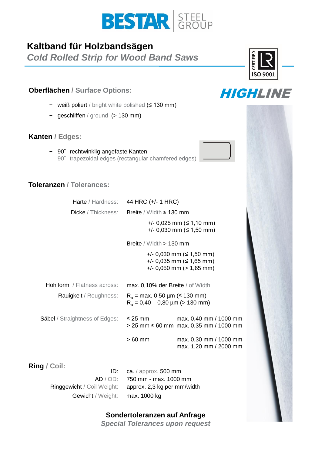

# **Kaltband für Holzbandsägen**

*Cold Rolled Strip for Wood Band Saws*

## **Oberflächen / Surface Options:**

- − weiß poliert / bright white polished (≤ 130 mm)
- − geschliffen / ground (> 130 mm)

### **Kanten / Edges:**

− 90° rechtwinklig angefaste Kanten 90° trapezoidal edges (rectangular chamfered edges)

## **Toleranzen / Tolerances:**

|                                       | Härte / Hardness: 44 HRC (+/- 1 HRC)                                    |                                                                                                       |  |
|---------------------------------------|-------------------------------------------------------------------------|-------------------------------------------------------------------------------------------------------|--|
|                                       | Dicke / Thickness: Breite / Width ≤ 130 mm                              |                                                                                                       |  |
|                                       |                                                                         | $+/- 0,025$ mm ( $\leq 1,10$ mm)<br>+/- 0,030 mm ( $\leq$ 1,50 mm)                                    |  |
|                                       | Breite / Width $> 130$ mm                                               |                                                                                                       |  |
|                                       |                                                                         | $+/- 0,030$ mm ( $\leq 1,50$ mm)<br>$+/-$ 0,035 mm ( $\leq$ 1,65 mm)<br>$+/-$ 0,050 mm ( $>$ 1,65 mm) |  |
| <b>Hohlform</b> / Flatness across:    | max. 0,10% der Breite / of Width                                        |                                                                                                       |  |
| Rauigkeit / Roughness:                | $R_a$ = max. 0,50 µm (≤ 130 mm)<br>$R_a = 0,40 - 0,80 \mu m$ (> 130 mm) |                                                                                                       |  |
| <b>Säbel</b> / Straightness of Edges: | $\leq$ 25 mm                                                            | max. 0,40 mm / 1000 mm<br>> 25 mm ≤ 60 mm max. 0,35 mm / 1000 mm                                      |  |
|                                       | $>60$ mm                                                                | max. 0,30 mm / 1000 mm<br>max. 1,20 mm / 2000 mm                                                      |  |
| Ring / Coil:<br>ID:                   | ca. / approx. 500 mm                                                    |                                                                                                       |  |

Ringgewicht / Coil Weight: Gewicht / Weight: max. 1000 kg

ca. / approx. 500 mm AD / OD: 750 mm - max. 1000 mm approx. 2,3 kg per mm/width

### **Sondertoleranzen auf Anfrage**

*Special Tolerances upon request*